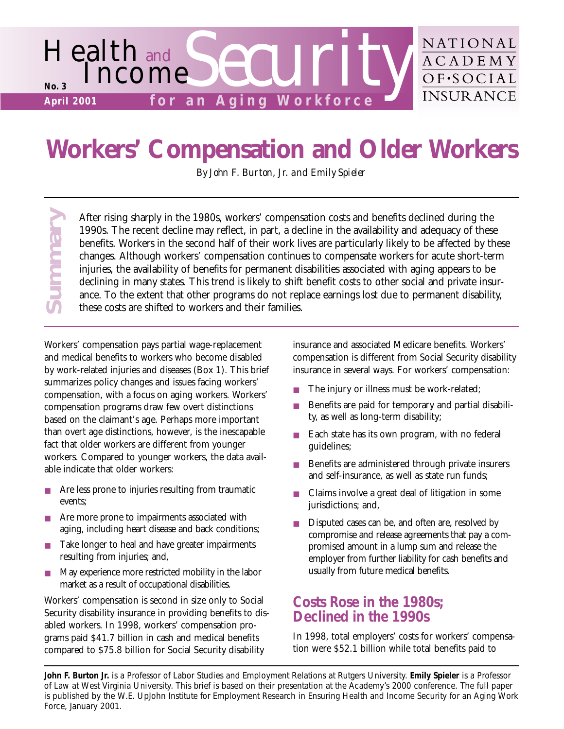

# **Workers' Compensation and Older Workers**

*By John F. Burton, Jr. and Emily Spieler*

After rising sharply in the 1980s, workers' compensation costs and benefits declined during the 1990s. The recent decline may reflect, in part, a decline in the availability and adequacy of these benefits. Workers in the second half of their work lives are particularly likely to be affected by these changes. Although workers' compensation continues to compensate workers for acute short-term injuries, the availability of benefits for permanent disabilities associated with aging appears to be declining in many states. This trend is likely to shift benefit costs to other social and private insurance. To the extent that other programs do not replace earnings lost due to permanent disability, these costs are shifted to workers and their families.

After risin<br>1990s. The benefits. **V** changes. *I* injuries, the declining<br>ance. To these cost<br>Workers' compensa<br>and medical benefit<br>by work-related inju<br>summarizes policy compensation, with<br>compensation, with<br>compensation Workers' compensation pays partial wage-replacement and medical benefits to workers who become disabled by work-related injuries and diseases (Box 1). This brief summarizes policy changes and issues facing workers' compensation, with a focus on aging workers. Workers' compensation programs draw few overt distinctions based on the claimant's age. Perhaps more important than overt age distinctions, however, is the inescapable fact that older workers are different from younger workers. Compared to younger workers, the data available indicate that older workers:

Summary

- Are less prone to injuries resulting from traumatic events;
- Are more prone to impairments associated with aging, including heart disease and back conditions;
- Take longer to heal and have greater impairments resulting from injuries; and,
- May experience more restricted mobility in the labor market as a result of occupational disabilities.

Workers' compensation is second in size only to Social Security disability insurance in providing benefits to disabled workers. In 1998, workers' compensation programs paid \$41.7 billion in cash and medical benefits compared to \$75.8 billion for Social Security disability

insurance and associated Medicare benefits. Workers' compensation is different from Social Security disability insurance in several ways. For workers' compensation:

- The injury or illness must be work-related;
- Benefits are paid for temporary and partial disability, as well as long-term disability;
- Each state has its own program, with no federal guidelines;
- Benefits are administered through private insurers and self-insurance, as well as state run funds;
- Claims involve a great deal of litigation in some jurisdictions; and,
- Disputed cases can be, and often are, resolved by compromise and release agreements that pay a compromised amount in a lump sum and release the employer from further liability for cash benefits and usually from future medical benefits.

## **Costs Rose in the 1980s; Declined in the 1990s**

In 1998, total employers' costs for workers' compensation were \$52.1 billion while total benefits paid to

**John F. Burton Jr.** is a Professor of Labor Studies and Employment Relations at Rutgers University. **Emily Spieler** is a Professor of Law at West Virginia University. This brief is based on their presentation at the Academy's 2000 conference. The full paper is published by the W.E. UpJohn Institute for Employment Research in *Ensuring Health and Income Security for an Aging Work*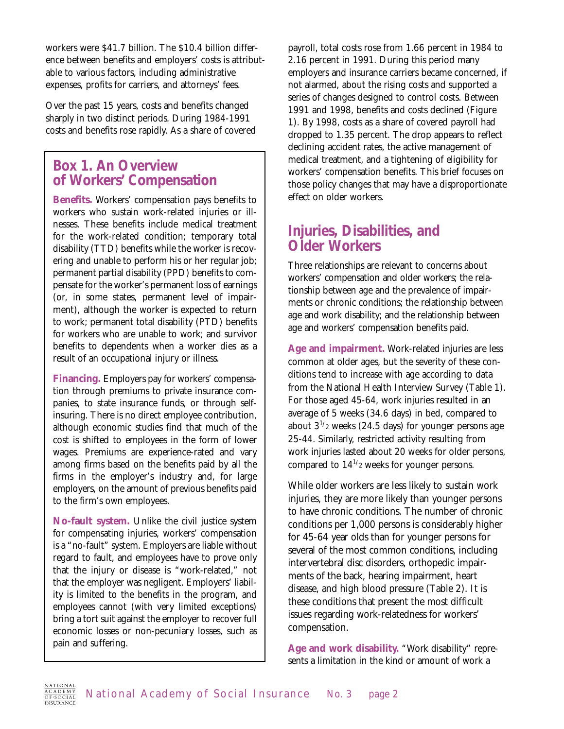workers were \$41.7 billion. The \$10.4 billion difference between benefits and employers' costs is attributable to various factors, including administrative expenses, profits for carriers, and attorneys' fees.

Over the past 15 years, costs and benefits changed sharply in two distinct periods. During 1984-1991 costs and benefits rose rapidly. As a share of covered

## **Box 1. An Overview of Workers' Compensation**

**Benefits.** Workers' compensation pays benefits to workers who sustain work-related injuries or illnesses. These benefits include medical treatment for the work-related condition; temporary total disability (TTD) benefits while the worker is recovering and unable to perform his or her regular job; permanent partial disability (PPD) benefits to compensate for the worker's permanent loss of earnings (or, in some states, permanent level of impairment), although the worker is expected to return to work; permanent total disability (PTD) benefits for workers who are unable to work; and survivor benefits to dependents when a worker dies as a result of an occupational injury or illness.

**Financing.** Employers pay for workers' compensation through premiums to private insurance companies, to state insurance funds, or through selfinsuring. There is no direct employee contribution, although economic studies find that much of the cost is shifted to employees in the form of lower wages. Premiums are experience-rated and vary among firms based on the benefits paid by all the firms in the employer's industry and, for large employers, on the amount of previous benefits paid to the firm's own employees.

**No-fault system.** Unlike the civil justice system for compensating injuries, workers' compensation is a "no-fault" system. Employers are liable without regard to fault, and employees have to prove only that the injury or disease is "work-related," not that the employer was negligent. Employers' liability is limited to the benefits in the program, and employees cannot (with very limited exceptions) bring a tort suit against the employer to recover full economic losses or non-pecuniary losses, such as pain and suffering.

payroll, total costs rose from 1.66 percent in 1984 to 2.16 percent in 1991. During this period many employers and insurance carriers became concerned, if not alarmed, about the rising costs and supported a series of changes designed to control costs. Between 1991 and 1998, benefits and costs declined (Figure 1). By 1998, costs as a share of covered payroll had dropped to 1.35 percent. The drop appears to reflect declining accident rates, the active management of medical treatment, and a tightening of eligibility for workers' compensation benefits. This brief focuses on those policy changes that may have a disproportionate effect on older workers.

## **Injuries, Disabilities, and Older Workers**

Three relationships are relevant to concerns about workers' compensation and older workers; the relationship between age and the prevalence of impairments or chronic conditions; the relationship between age and work disability; and the relationship between age and workers' compensation benefits paid.

**Age and impairment.** Work-related injuries are less common at older ages, but the severity of these conditions tend to increase with age according to data from the National Health Interview Survey (Table 1). For those aged 45-64, work injuries resulted in an average of 5 weeks (34.6 days) in bed, compared to about  $3^{1/2}$  weeks (24.5 days) for younger persons age 25-44. Similarly, restricted activity resulting from work injuries lasted about 20 weeks for older persons, compared to  $14^{1/2}$  weeks for younger persons.

While older workers are less likely to sustain work injuries, they are more likely than younger persons to have chronic conditions. The number of chronic conditions per 1,000 persons is considerably higher for 45-64 year olds than for younger persons for several of the most common conditions, including intervertebral disc disorders, orthopedic impairments of the back, hearing impairment, heart disease, and high blood pressure (Table 2). It is these conditions that present the most difficult issues regarding work-relatedness for workers' compensation.

**Age and work disability.** "Work disability" represents a limitation in the kind or amount of work a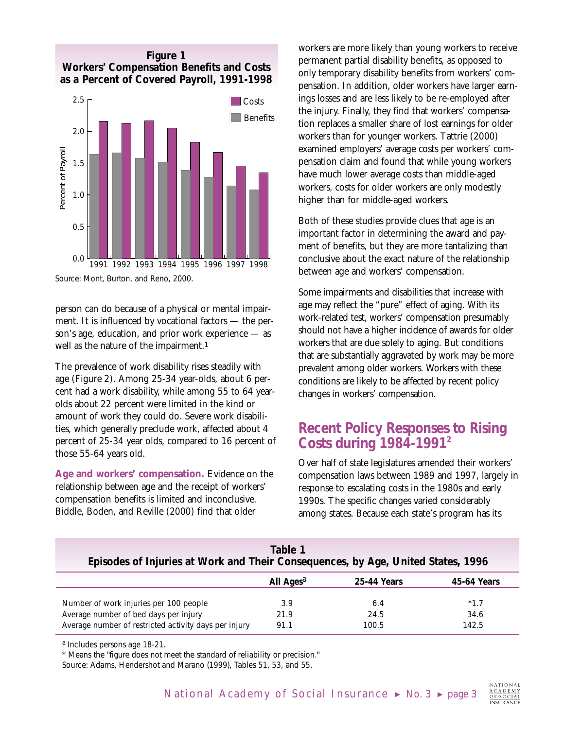

Source: Mont, Burton, and Reno, 2000.

person can do because of a physical or mental impairment. It is influenced by vocational factors — the person's age, education, and prior work experience — as well as the nature of the impairment.<sup>1</sup>

The prevalence of work disability rises steadily with age (Figure 2). Among 25-34 year-olds, about 6 percent had a work disability, while among 55 to 64 yearolds about 22 percent were limited in the kind or amount of work they could do. Severe work disabilities, which generally preclude work, affected about 4 percent of 25-34 year olds, compared to 16 percent of those 55-64 years old.

**Age and workers' compensation.** Evidence on the relationship between age and the receipt of workers' compensation benefits is limited and inconclusive. Biddle, Boden, and Reville (2000) find that older

workers are more likely than young workers to receive permanent partial disability benefits, as opposed to only temporary disability benefits from workers' compensation. In addition, older workers have larger earnings losses and are less likely to be re-employed after the injury. Finally, they find that workers' compensation replaces a smaller share of lost earnings for older workers than for younger workers. Tattrie (2000) examined employers' average costs per workers' compensation claim and found that while young workers have much lower average costs than middle-aged workers, costs for older workers are only modestly higher than for middle-aged workers.

Both of these studies provide clues that age is an important factor in determining the award and payment of benefits, but they are more tantalizing than conclusive about the exact nature of the relationship between age and workers' compensation.

Some impairments and disabilities that increase with age may reflect the "pure" effect of aging. With its work-related test, workers' compensation presumably should not have a higher incidence of awards for older workers that are due solely to aging. But conditions that are substantially aggravated by work may be more prevalent among older workers. Workers with these conditions are likely to be affected by recent policy changes in workers' compensation.

## **Recent Policy Responses to Rising Costs during 1984-19912**

Over half of state legislatures amended their workers' compensation laws between 1989 and 1997, largely in response to escalating costs in the 1980s and early 1990s. The specific changes varied considerably among states. Because each state's program has its

| Table 1<br>Episodes of Injuries at Work and Their Consequences, by Age, United States, 1996 |                       |             |             |  |
|---------------------------------------------------------------------------------------------|-----------------------|-------------|-------------|--|
|                                                                                             | All Ages <sup>a</sup> | 25-44 Years | 45-64 Years |  |
| Number of work injuries per 100 people                                                      | 3.9                   | 6.4         | $*1.7$      |  |
| Average number of bed days per injury                                                       | 21.9                  | 24.5        | 34.6        |  |
| Average number of restricted activity days per injury                                       | 91.1                  | 100.5       | 142.5       |  |

a Includes persons age 18-21.

\* Means the "figure does not meet the standard of reliability or precision."

Source: Adams, Hendershot and Marano (1999), Tables 51, 53, and 55.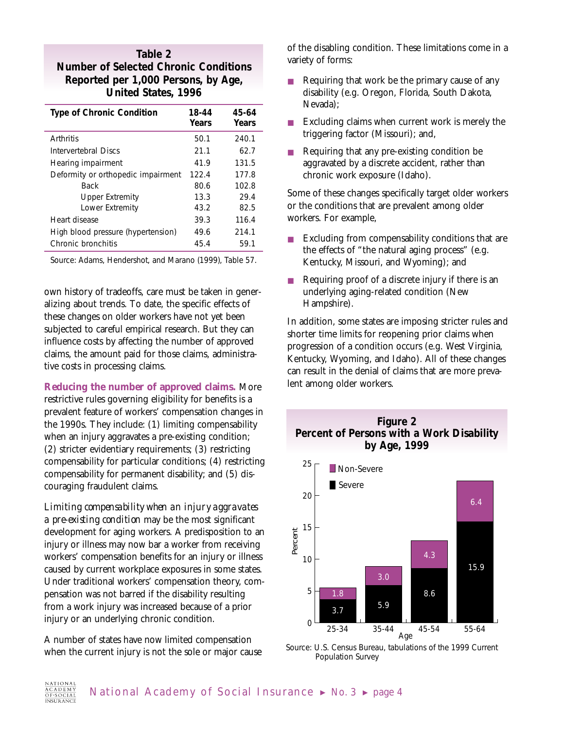### **Table 2 Number of Selected Chronic Conditions Reported per 1,000 Persons, by Age, United States, 1996**

| <b>Type of Chronic Condition</b>   | 18-44<br>Years | 45-64<br>Years |
|------------------------------------|----------------|----------------|
| Arthritis                          | 50.1           | 240.1          |
| Intervertebral Discs               | 21.1           | 62.7           |
| Hearing impairment                 | 41.9           | 131.5          |
| Deformity or orthopedic impairment | 122.4          | 177.8          |
| <b>Back</b>                        | 80.6           | 102.8          |
| Upper Extremity                    | 13.3           | 29.4           |
| Lower Extremity                    | 43.2           | 82.5           |
| Heart disease                      | 39.3           | 116.4          |
| High blood pressure (hypertension) | 49.6           | 214.1          |
| Chronic bronchitis                 | 45.4           | 59.1           |

Source: Adams, Hendershot, and Marano (1999), Table 57.

own history of tradeoffs, care must be taken in generalizing about trends. To date, the specific effects of these changes on older workers have not yet been subjected to careful empirical research. But they can influence costs by affecting the number of approved claims, the amount paid for those claims, administrative costs in processing claims.

**Reducing the number of approved claims.** More restrictive rules governing eligibility for benefits is a prevalent feature of workers' compensation changes in the 1990s. They include: (1) limiting compensability when an injury aggravates a pre-existing condition; (2) stricter evidentiary requirements; (3) restricting compensability for particular conditions; (4) restricting compensability for permanent disability; and (5) discouraging fraudulent claims.

*Limiting compensability when an injury aggravates a pre-existing condition* may be the most significant development for aging workers. A predisposition to an injury or illness may now bar a worker from receiving workers' compensation benefits for an injury or illness caused by current workplace exposures in some states. Under traditional workers' compensation theory, compensation was not barred if the disability resulting from a work injury was increased because of a prior injury or an underlying chronic condition.

A number of states have now limited compensation when the current injury is not the sole or major cause of the disabling condition. These limitations come in a variety of forms:

- Requiring that work be the primary cause of any disability (e.g. Oregon, Florida, South Dakota, Nevada);
- Excluding claims when current work is merely the triggering factor (Missouri); and,
- Requiring that any pre-existing condition be aggravated by a discrete accident, rather than chronic work exposure (Idaho).

Some of these changes specifically target older workers or the conditions that are prevalent among older workers. For example,

- Excluding from compensability conditions that are the effects of "the natural aging process" (e.g. Kentucky, Missouri, and Wyoming); and
- Requiring proof of a discrete injury if there is an underlying aging-related condition (New Hampshire).

In addition, some states are imposing stricter rules and shorter time limits for reopening prior claims when progression of a condition occurs (e.g. West Virginia, Kentucky, Wyoming, and Idaho). All of these changes can result in the denial of claims that are more prevalent among older workers.



 $\Omega$ 5 25-34 35-44 45-54 55-64 Age  $3.7$  5.9 8.6 1.8 Source: U.S. Census Bureau, tabulations of the 1999 Current

Population Survey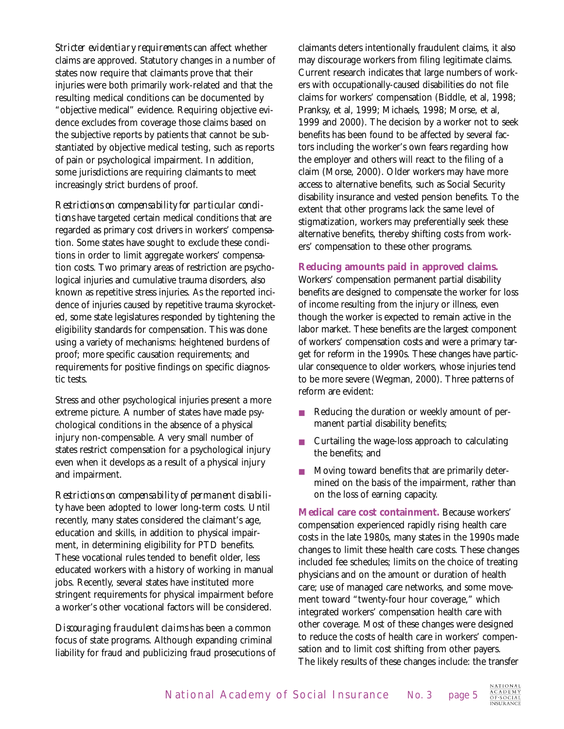*Stricter evidentiary requirements* can affect whether claims are approved. Statutory changes in a number of states now require that claimants prove that their injuries were both primarily work-related and that the resulting medical conditions can be documented by "objective medical" evidence. Requiring objective evidence excludes from coverage those claims based on the subjective reports by patients that cannot be substantiated by objective medical testing, such as reports of pain or psychological impairment. In addition, some jurisdictions are requiring claimants to meet increasingly strict burdens of proof.

*Restrictions on compensability for particular conditions* have targeted certain medical conditions that are regarded as primary cost drivers in workers' compensation. Some states have sought to exclude these conditions in order to limit aggregate workers' compensation costs. Two primary areas of restriction are psychological injuries and cumulative trauma disorders, also known as repetitive stress injuries. As the reported incidence of injuries caused by repetitive trauma skyrocketed, some state legislatures responded by tightening the eligibility standards for compensation. This was done using a variety of mechanisms: heightened burdens of proof; more specific causation requirements; and requirements for positive findings on specific diagnostic tests.

Stress and other psychological injuries present a more extreme picture. A number of states have made psychological conditions in the absence of a physical injury non-compensable. A very small number of states restrict compensation for a psychological injury even when it develops as a result of a physical injury and impairment.

*Restrictions on compensability of permanent disability* have been adopted to lower long-term costs. Until recently, many states considered the claimant's age, education and skills, in addition to physical impairment, in determining eligibility for PTD benefits. These vocational rules tended to benefit older, less educated workers with a history of working in manual jobs. Recently, several states have instituted more stringent requirements for physical impairment before a worker's other vocational factors will be considered.

*Discouraging fraudulent claims* has been a common focus of state programs. Although expanding criminal liability for fraud and publicizing fraud prosecutions of claimants deters intentionally fraudulent claims, it also may discourage workers from filing legitimate claims. Current research indicates that large numbers of workers with occupationally-caused disabilities do not file claims for workers' compensation (Biddle, et al, 1998; Pranksy, et al, 1999; Michaels, 1998; Morse, et al, 1999 and 2000). The decision by a worker not to seek benefits has been found to be affected by several factors including the worker's own fears regarding how the employer and others will react to the filing of a claim (Morse, 2000). Older workers may have more access to alternative benefits, such as Social Security disability insurance and vested pension benefits. To the extent that other programs lack the same level of stigmatization, workers may preferentially seek these alternative benefits, thereby shifting costs from workers' compensation to these other programs.

#### **Reducing amounts paid in approved claims.**

Workers' compensation permanent partial disability benefits are designed to compensate the worker for loss of income resulting from the injury or illness, even though the worker is expected to remain active in the labor market. These benefits are the largest component of workers' compensation costs and were a primary target for reform in the 1990s. These changes have particular consequence to older workers, whose injuries tend to be more severe (Wegman, 2000). Three patterns of reform are evident:

- Reducing the duration or weekly amount of permanent partial disability benefits;
- Curtailing the wage-loss approach to calculating the benefits; and
- Moving toward benefits that are primarily determined on the basis of the impairment, rather than on the loss of earning capacity.

**Medical care cost containment.** Because workers' compensation experienced rapidly rising health care costs in the late 1980s, many states in the 1990s made changes to limit these health care costs. These changes included fee schedules; limits on the choice of treating physicians and on the amount or duration of health care; use of managed care networks, and some movement toward "twenty-four hour coverage," which integrated workers' compensation health care with other coverage. Most of these changes were designed to reduce the costs of health care in workers' compensation and to limit cost shifting from other payers. The likely results of these changes include: the transfer

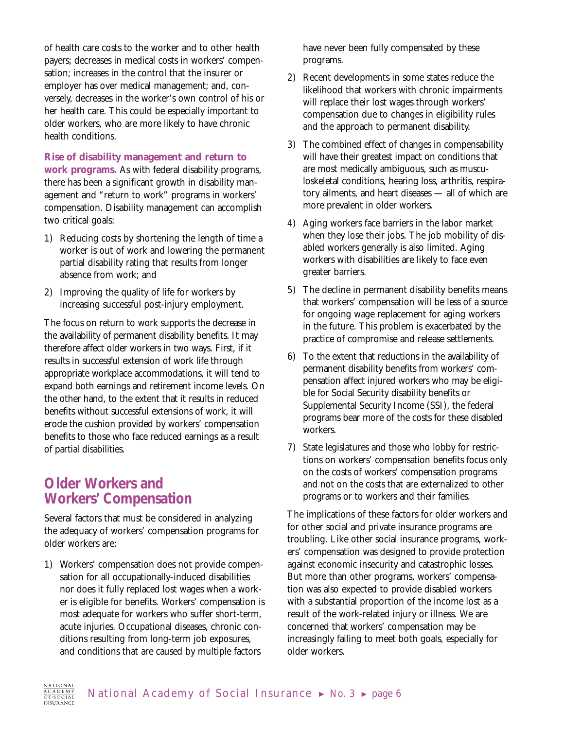of health care costs to the worker and to other health payers; decreases in medical costs in workers' compensation; increases in the control that the insurer or employer has over medical management; and, conversely, decreases in the worker's own control of his or her health care. This could be especially important to older workers, who are more likely to have chronic health conditions.

**Rise of disability management and return to work programs.** As with federal disability programs, there has been a significant growth in disability management and "return to work" programs in workers' compensation. Disability management can accomplish two critical goals:

- 1) Reducing costs by shortening the length of time a worker is out of work and lowering the permanent partial disability rating that results from longer absence from work; and
- 2) Improving the quality of life for workers by increasing successful post-injury employment.

The focus on return to work supports the decrease in the availability of permanent disability benefits. It may therefore affect older workers in two ways. First, if it results in successful extension of work life through appropriate workplace accommodations, it will tend to expand both earnings and retirement income levels. On the other hand, to the extent that it results in reduced benefits without successful extensions of work, it will erode the cushion provided by workers' compensation benefits to those who face reduced earnings as a result of partial disabilities.

## **Older Workers and Workers' Compensation**

Several factors that must be considered in analyzing the adequacy of workers' compensation programs for older workers are:

1) Workers' compensation does not provide compensation for all occupationally-induced disabilities nor does it fully replaced lost wages when a worker is eligible for benefits. Workers' compensation is most adequate for workers who suffer short-term, acute injuries. Occupational diseases, chronic conditions resulting from long-term job exposures, and conditions that are caused by multiple factors

have never been fully compensated by these programs.

- 2) Recent developments in some states reduce the likelihood that workers with chronic impairments will replace their lost wages through workers' compensation due to changes in eligibility rules and the approach to permanent disability.
- 3) The combined effect of changes in compensability will have their greatest impact on conditions that are most medically ambiguous, such as musculoskeletal conditions, hearing loss, arthritis, respiratory ailments, and heart diseases — all of which are more prevalent in older workers.
- 4) Aging workers face barriers in the labor market when they lose their jobs. The job mobility of disabled workers generally is also limited. Aging workers with disabilities are likely to face even greater barriers.
- 5) The decline in permanent disability benefits means that workers' compensation will be less of a source for ongoing wage replacement for aging workers in the future. This problem is exacerbated by the practice of compromise and release settlements.
- 6) To the extent that reductions in the availability of permanent disability benefits from workers' compensation affect injured workers who may be eligible for Social Security disability benefits or Supplemental Security Income (SSI), the federal programs bear more of the costs for these disabled workers.
- 7) State legislatures and those who lobby for restrictions on workers' compensation benefits focus only on the costs of workers' compensation programs and not on the costs that are externalized to other programs or to workers and their families.

The implications of these factors for older workers and for other social and private insurance programs are troubling. Like other social insurance programs, workers' compensation was designed to provide protection against economic insecurity and catastrophic losses. But more than other programs, workers' compensation was also expected to provide disabled workers with a substantial proportion of the income lost as a result of the work-related injury or illness. We are concerned that workers' compensation may be increasingly failing to meet both goals, especially for older workers.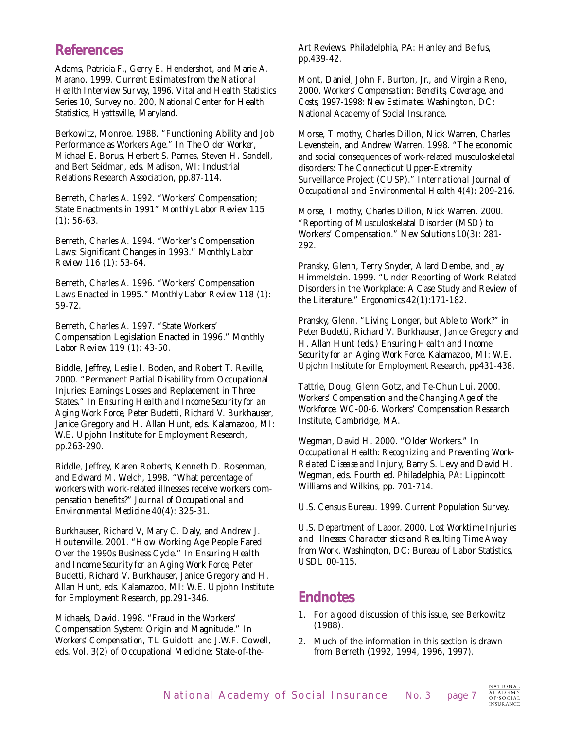## **References**

Adams, Patricia F., Gerry E. Hendershot, and Marie A. Marano. 1999. *Current Estimates from the National Health Interview Survey*, *1996*. Vital and Health Statistics Series 10, Survey no. 200, National Center for Health Statistics, Hyattsville, Maryland.

Berkowitz, Monroe. 1988. "Functioning Ability and Job Performance as Workers Age." In *The Older Worker*, Michael E. Borus, Herbert S. Parnes, Steven H. Sandell, and Bert Seidman, eds. Madison, WI: Industrial Relations Research Association, pp.87-114.

Berreth, Charles A. 1992. "Workers' Compensation; State Enactments in 1991" *Monthly Labor Review* 115 (1): 56-63.

Berreth, Charles A. 1994. "Worker's Compensation Laws: Significant Changes in 1993." *Monthly Labor Review* 116 (1): 53-64.

Berreth, Charles A. 1996. "Workers' Compensation Laws Enacted in 1995." *Monthly Labor Review* 118 (1): 59-72.

Berreth, Charles A. 1997. "State Workers' Compensation Legislation Enacted in 1996." *Monthly Labor Review* 119 (1): 43-50.

Biddle, Jeffrey, Leslie I. Boden, and Robert T. Reville, 2000. "Permanent Partial Disability from Occupational Injuries: Earnings Losses and Replacement in Three States." In *Ensuring Health and Income Security for an Aging Work Force*, Peter Budetti, Richard V. Burkhauser, Janice Gregory and H. Allan Hunt, eds. Kalamazoo, MI: W.E. Upjohn Institute for Employment Research, pp.263-290.

Biddle, Jeffrey, Karen Roberts, Kenneth D. Rosenman, and Edward M. Welch, 1998. "What percentage of workers with work-related illnesses receive workers compensation benefits?" *Journal of Occupational and Environmental Medicine* 40(4): 325-31.

Burkhauser, Richard V, Mary C. Daly, and Andrew J. Houtenville. 2001. "How Working Age People Fared Over the 1990s Business Cycle." In *Ensuring Health and Income Security for an Aging Work Force*, Peter Budetti, Richard V. Burkhauser, Janice Gregory and H. Allan Hunt, eds. Kalamazoo, MI: W.E. Upjohn Institute for Employment Research, pp.291-346.

Michaels, David. 1998. "Fraud in the Workers' Compensation System: Origin and Magnitude." In *Workers' Compensation*, TL Guidotti and J.W.F. Cowell, eds. Vol. 3(2) of Occupational Medicine: State-of-theArt Reviews. Philadelphia, PA: Hanley and Belfus, pp.439-42.

Mont, Daniel, John F. Burton, Jr., and Virginia Reno, 2000. *Workers' Compensation: Benefits, Coverage, and Costs*, *1997-1998: New Estimates*. Washington, DC: National Academy of Social Insurance.

Morse, Timothy, Charles Dillon, Nick Warren, Charles Levenstein, and Andrew Warren. 1998. "The economic and social consequences of work-related musculoskeletal disorders: The Connecticut Upper-Extremity Surveillance Project (CUSP)." *International Journal of Occupational and Environmental Health* 4(4): 209-216.

Morse, Timothy, Charles Dillon, Nick Warren. 2000. "Reporting of Musculoskelatal Disorder (MSD) to Workers' Compensation." *New Solutions* 10(3): 281- 292.

Pransky, Glenn, Terry Snyder, Allard Dembe, and Jay Himmelstein. 1999. "Under-Reporting of Work-Related Disorders in the Workplace: A Case Study and Review of the Literature." *Ergonomics* 42(1):171-182.

Pransky, Glenn. "Living Longer, but Able to Work?" in Peter Budetti, Richard V. Burkhauser, Janice Gregory and H. Allan Hunt (eds.) *Ensuring Health and Income Security for an Aging Work Force.* Kalamazoo, MI: W.E. Upjohn Institute for Employment Research, pp431-438.

Tattrie, Doug, Glenn Gotz, and Te-Chun Lui. 2000. *Workers' Compensation and the Changing Age of the Workforce.* WC-00-6. Workers' Compensation Research Institute, Cambridge, MA.

Wegman, David H. 2000. "Older Workers." In *Occupational Health: Recognizing and Preventing Work-Related Disease and Injury*, Barry S. Levy and David H. Wegman, eds. Fourth ed. Philadelphia, PA: Lippincott Williams and Wilkins, pp. 701-714.

U.S. Census Bureau. 1999. Current Population Survey.

U.S. Department of Labor. 2000. *Lost Worktime Injuries and Illnesses: Characteristics and Resulting Time Away from Work.* Washington, DC: Bureau of Labor Statistics, USDL 00-115.

## **Endnotes**

- 1. For a good discussion of this issue, see Berkowitz (1988).
- 2. Much of the information in this section is drawn from Berreth (1992, 1994, 1996, 1997).